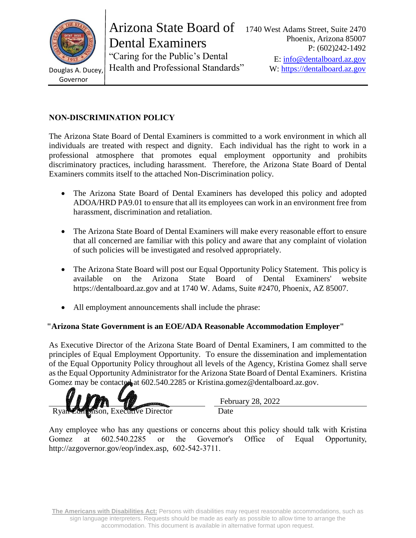

Governor

Arizona State Board of Dental Examiners

"Caring for the Public's Dental Douglas A. Ducey, Health and Professional Standards" W: [https://dentalboard.az.gov](https://dentalboard.az.gov/)

# **NON-DISCRIMINATION POLICY**

The Arizona State Board of Dental Examiners is committed to a work environment in which all individuals are treated with respect and dignity. Each individual has the right to work in a professional atmosphere that promotes equal employment opportunity and prohibits discriminatory practices, including harassment. Therefore, the Arizona State Board of Dental Examiners commits itself to the attached Non-Discrimination policy.

- The Arizona State Board of Dental Examiners has developed this policy and adopted ADOA/HRD PA9.01 to ensure that all its employees can work in an environment free from harassment, discrimination and retaliation.
- The Arizona State Board of Dental Examiners will make every reasonable effort to ensure that all concerned are familiar with this policy and aware that any complaint of violation of such policies will be investigated and resolved appropriately.
- The Arizona State Board will post our Equal Opportunity Policy Statement. This policy is available on the Arizona State Board of Dental Examiners' website https://dentalboard.az.gov and at 1740 W. Adams, Suite #2470, Phoenix, AZ 85007.
- All employment announcements shall include the phrase:

## **"Arizona State Government is an EOE/ADA Reasonable Accommodation Employer"**

As Executive Director of the Arizona State Board of Dental Examiners, I am committed to the principles of Equal Employment Opportunity. To ensure the dissemination and implementation of the Equal Opportunity Policy throughout all levels of the Agency, Kristina Gomez shall serve as the Equal Opportunity Administrator for the Arizona State Board of Dental Examiners. Kristina Gomez may be contacted at 602.540.2285 or Kristina.gomez@dentalboard.az.gov.

**Prison, Executive Director** Date

February 28, 2022

Any employee who has any questions or concerns about this policy should talk with Kristina Gomez at 602.540.2285 or the Governor's Office of Equal Opportunity, http://azgovernor.gov/eop/index.asp, 602-542-3711.

**The Americans with Disabilities Act:** Persons with disabilities may request reasonable accommodations, such as sign language interpreters. Requests should be made as early as possible to allow time to arrange the accommodation. This document is available in alternative format upon request.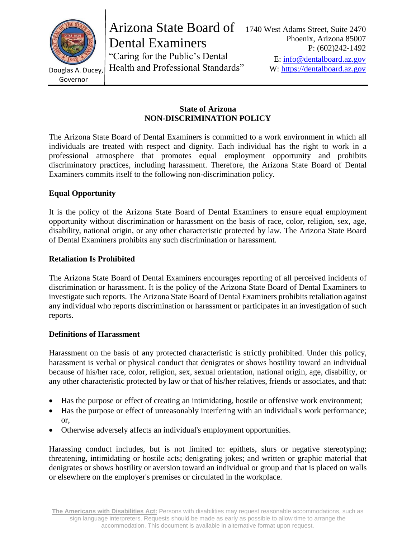

Arizona State Board of Dental Examiners

"Caring for the Public's Dental Douglas A. Ducey, Health and Professional Standards" W: [https://dentalboard.az.gov](https://dentalboard.az.gov/)

Governor

### **State of Arizona NON-DISCRIMINATION POLICY**

The Arizona State Board of Dental Examiners is committed to a work environment in which all individuals are treated with respect and dignity. Each individual has the right to work in a professional atmosphere that promotes equal employment opportunity and prohibits discriminatory practices, including harassment. Therefore, the Arizona State Board of Dental Examiners commits itself to the following non-discrimination policy.

## **Equal Opportunity**

It is the policy of the Arizona State Board of Dental Examiners to ensure equal employment opportunity without discrimination or harassment on the basis of race, color, religion, sex, age, disability, national origin, or any other characteristic protected by law. The Arizona State Board of Dental Examiners prohibits any such discrimination or harassment.

## **Retaliation Is Prohibited**

The Arizona State Board of Dental Examiners encourages reporting of all perceived incidents of discrimination or harassment. It is the policy of the Arizona State Board of Dental Examiners to investigate such reports. The Arizona State Board of Dental Examiners prohibits retaliation against any individual who reports discrimination or harassment or participates in an investigation of such reports.

### **Definitions of Harassment**

Harassment on the basis of any protected characteristic is strictly prohibited. Under this policy, harassment is verbal or physical conduct that denigrates or shows hostility toward an individual because of his/her race, color, religion, sex, sexual orientation, national origin, age, disability, or any other characteristic protected by law or that of his/her relatives, friends or associates, and that:

- Has the purpose or effect of creating an intimidating, hostile or offensive work environment;
- Has the purpose or effect of unreasonably interfering with an individual's work performance; or,
- Otherwise adversely affects an individual's employment opportunities.

Harassing conduct includes, but is not limited to: epithets, slurs or negative stereotyping; threatening, intimidating or hostile acts; denigrating jokes; and written or graphic material that denigrates or shows hostility or aversion toward an individual or group and that is placed on walls or elsewhere on the employer's premises or circulated in the workplace.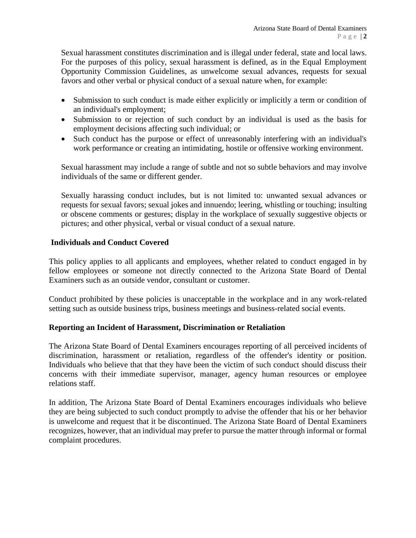Sexual harassment constitutes discrimination and is illegal under federal, state and local laws. For the purposes of this policy, sexual harassment is defined, as in the Equal Employment Opportunity Commission Guidelines, as unwelcome sexual advances, requests for sexual favors and other verbal or physical conduct of a sexual nature when, for example:

- Submission to such conduct is made either explicitly or implicitly a term or condition of an individual's employment;
- Submission to or rejection of such conduct by an individual is used as the basis for employment decisions affecting such individual; or
- Such conduct has the purpose or effect of unreasonably interfering with an individual's work performance or creating an intimidating, hostile or offensive working environment.

Sexual harassment may include a range of subtle and not so subtle behaviors and may involve individuals of the same or different gender.

Sexually harassing conduct includes, but is not limited to: unwanted sexual advances or requests for sexual favors; sexual jokes and innuendo; leering, whistling or touching; insulting or obscene comments or gestures; display in the workplace of sexually suggestive objects or pictures; and other physical, verbal or visual conduct of a sexual nature.

### **Individuals and Conduct Covered**

This policy applies to all applicants and employees, whether related to conduct engaged in by fellow employees or someone not directly connected to the Arizona State Board of Dental Examiners such as an outside vendor, consultant or customer.

Conduct prohibited by these policies is unacceptable in the workplace and in any work-related setting such as outside business trips, business meetings and business-related social events.

### **Reporting an Incident of Harassment, Discrimination or Retaliation**

The Arizona State Board of Dental Examiners encourages reporting of all perceived incidents of discrimination, harassment or retaliation, regardless of the offender's identity or position. Individuals who believe that that they have been the victim of such conduct should discuss their concerns with their immediate supervisor, manager, agency human resources or employee relations staff.

In addition, The Arizona State Board of Dental Examiners encourages individuals who believe they are being subjected to such conduct promptly to advise the offender that his or her behavior is unwelcome and request that it be discontinued. The Arizona State Board of Dental Examiners recognizes, however, that an individual may prefer to pursue the matter through informal or formal complaint procedures.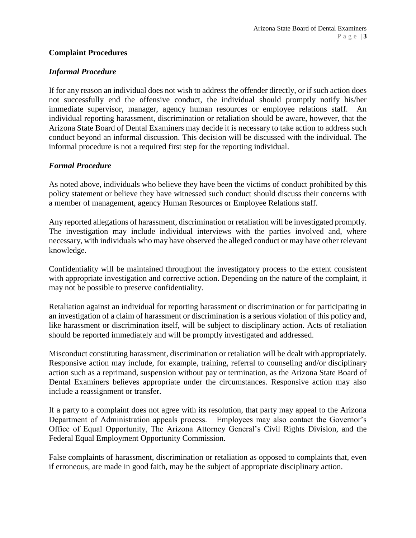#### **Complaint Procedures**

#### *Informal Procedure*

If for any reason an individual does not wish to address the offender directly, or if such action does not successfully end the offensive conduct, the individual should promptly notify his/her immediate supervisor, manager, agency human resources or employee relations staff. An individual reporting harassment, discrimination or retaliation should be aware, however, that the Arizona State Board of Dental Examiners may decide it is necessary to take action to address such conduct beyond an informal discussion. This decision will be discussed with the individual. The informal procedure is not a required first step for the reporting individual.

#### *Formal Procedure*

As noted above, individuals who believe they have been the victims of conduct prohibited by this policy statement or believe they have witnessed such conduct should discuss their concerns with a member of management, agency Human Resources or Employee Relations staff.

Any reported allegations of harassment, discrimination or retaliation will be investigated promptly. The investigation may include individual interviews with the parties involved and, where necessary, with individuals who may have observed the alleged conduct or may have other relevant knowledge.

Confidentiality will be maintained throughout the investigatory process to the extent consistent with appropriate investigation and corrective action. Depending on the nature of the complaint, it may not be possible to preserve confidentiality.

Retaliation against an individual for reporting harassment or discrimination or for participating in an investigation of a claim of harassment or discrimination is a serious violation of this policy and, like harassment or discrimination itself, will be subject to disciplinary action. Acts of retaliation should be reported immediately and will be promptly investigated and addressed.

Misconduct constituting harassment, discrimination or retaliation will be dealt with appropriately. Responsive action may include, for example, training, referral to counseling and/or disciplinary action such as a reprimand, suspension without pay or termination, as the Arizona State Board of Dental Examiners believes appropriate under the circumstances. Responsive action may also include a reassignment or transfer.

If a party to a complaint does not agree with its resolution, that party may appeal to the Arizona Department of Administration appeals process. Employees may also contact the Governor's Office of Equal Opportunity, The Arizona Attorney General's Civil Rights Division, and the Federal Equal Employment Opportunity Commission.

False complaints of harassment, discrimination or retaliation as opposed to complaints that, even if erroneous, are made in good faith, may be the subject of appropriate disciplinary action.